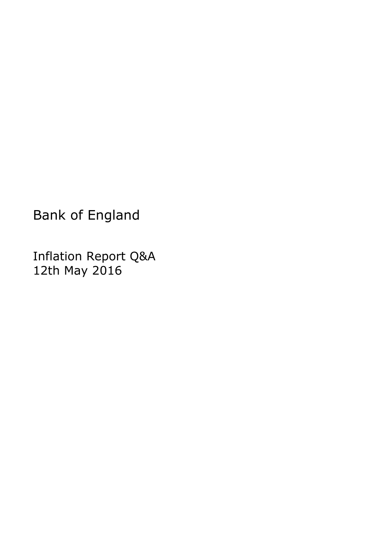Bank of England

Inflation Report Q&A 12th May 2016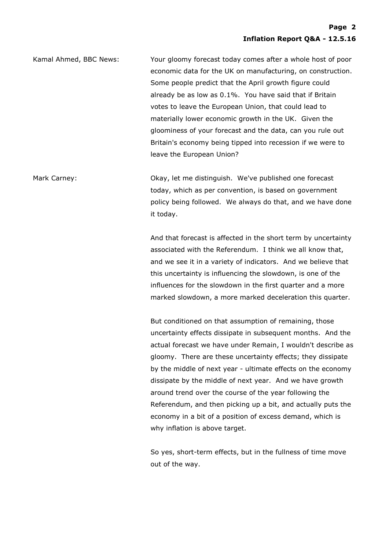Kamal Ahmed, BBC News: Your gloomy forecast today comes after a whole host of poor economic data for the UK on manufacturing, on construction. Some people predict that the April growth figure could already be as low as 0.1%. You have said that if Britain votes to leave the European Union, that could lead to materially lower economic growth in the UK. Given the gloominess of your forecast and the data, can you rule out Britain's economy being tipped into recession if we were to leave the European Union?

Mark Carney: Okay, let me distinguish. We've published one forecast today, which as per convention, is based on government policy being followed. We always do that, and we have done it today.

> And that forecast is affected in the short term by uncertainty associated with the Referendum. I think we all know that, and we see it in a variety of indicators. And we believe that this uncertainty is influencing the slowdown, is one of the influences for the slowdown in the first quarter and a more marked slowdown, a more marked deceleration this quarter.

> But conditioned on that assumption of remaining, those uncertainty effects dissipate in subsequent months. And the actual forecast we have under Remain, I wouldn't describe as gloomy. There are these uncertainty effects; they dissipate by the middle of next year - ultimate effects on the economy dissipate by the middle of next year. And we have growth around trend over the course of the year following the Referendum, and then picking up a bit, and actually puts the economy in a bit of a position of excess demand, which is why inflation is above target.

So yes, short-term effects, but in the fullness of time move out of the way.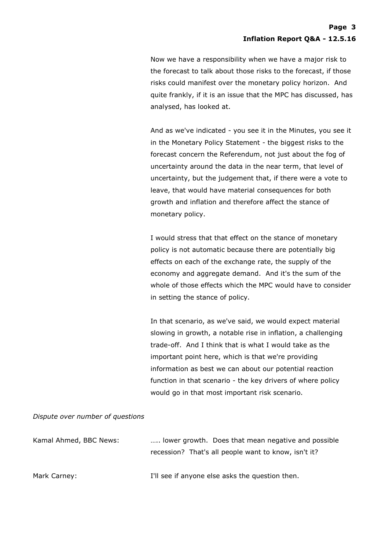Now we have a responsibility when we have a major risk to the forecast to talk about those risks to the forecast, if those risks could manifest over the monetary policy horizon. And quite frankly, if it is an issue that the MPC has discussed, has analysed, has looked at.

And as we've indicated - you see it in the Minutes, you see it in the Monetary Policy Statement - the biggest risks to the forecast concern the Referendum, not just about the fog of uncertainty around the data in the near term, that level of uncertainty, but the judgement that, if there were a vote to leave, that would have material consequences for both growth and inflation and therefore affect the stance of monetary policy.

I would stress that that effect on the stance of monetary policy is not automatic because there are potentially big effects on each of the exchange rate, the supply of the economy and aggregate demand. And it's the sum of the whole of those effects which the MPC would have to consider in setting the stance of policy.

In that scenario, as we've said, we would expect material slowing in growth, a notable rise in inflation, a challenging trade-off. And I think that is what I would take as the important point here, which is that we're providing information as best we can about our potential reaction function in that scenario - the key drivers of where policy would go in that most important risk scenario.

## *Dispute over number of questions*

| Kamal Ahmed, BBC News: | lower growth. Does that mean negative and possible   |
|------------------------|------------------------------------------------------|
|                        | recession? That's all people want to know, isn't it? |
|                        |                                                      |
| Mark Carney:           | I'll see if anyone else asks the question then.      |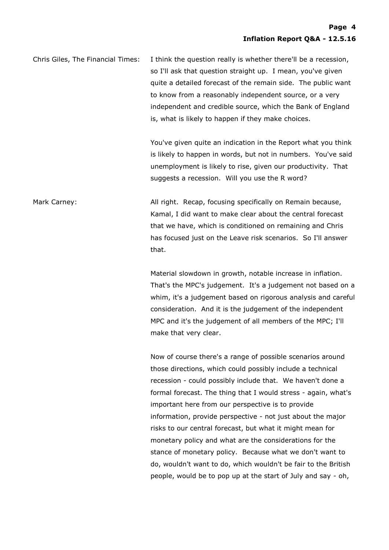Chris Giles, The Financial Times: I think the question really is whether there'll be a recession, so I'll ask that question straight up. I mean, you've given quite a detailed forecast of the remain side. The public want to know from a reasonably independent source, or a very independent and credible source, which the Bank of England is, what is likely to happen if they make choices.

> You've given quite an indication in the Report what you think is likely to happen in words, but not in numbers. You've said unemployment is likely to rise, given our productivity. That suggests a recession. Will you use the R word?

Mark Carney: The South Carney: All right. Recap, focusing specifically on Remain because, Kamal, I did want to make clear about the central forecast that we have, which is conditioned on remaining and Chris has focused just on the Leave risk scenarios. So I'll answer that.

> Material slowdown in growth, notable increase in inflation. That's the MPC's judgement. It's a judgement not based on a whim, it's a judgement based on rigorous analysis and careful consideration. And it is the judgement of the independent MPC and it's the judgement of all members of the MPC; I'll make that very clear.

Now of course there's a range of possible scenarios around those directions, which could possibly include a technical recession - could possibly include that. We haven't done a formal forecast. The thing that I would stress - again, what's important here from our perspective is to provide information, provide perspective - not just about the major risks to our central forecast, but what it might mean for monetary policy and what are the considerations for the stance of monetary policy. Because what we don't want to do, wouldn't want to do, which wouldn't be fair to the British people, would be to pop up at the start of July and say - oh,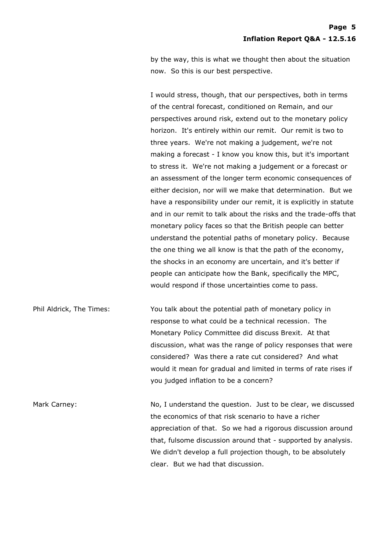by the way, this is what we thought then about the situation now. So this is our best perspective.

I would stress, though, that our perspectives, both in terms of the central forecast, conditioned on Remain, and our perspectives around risk, extend out to the monetary policy horizon. It's entirely within our remit. Our remit is two to three years. We're not making a judgement, we're not making a forecast - I know you know this, but it's important to stress it. We're not making a judgement or a forecast or an assessment of the longer term economic consequences of either decision, nor will we make that determination. But we have a responsibility under our remit, it is explicitly in statute and in our remit to talk about the risks and the trade-offs that monetary policy faces so that the British people can better understand the potential paths of monetary policy. Because the one thing we all know is that the path of the economy, the shocks in an economy are uncertain, and it's better if people can anticipate how the Bank, specifically the MPC, would respond if those uncertainties come to pass.

Phil Aldrick, The Times: You talk about the potential path of monetary policy in response to what could be a technical recession. The Monetary Policy Committee did discuss Brexit. At that discussion, what was the range of policy responses that were considered? Was there a rate cut considered? And what would it mean for gradual and limited in terms of rate rises if you judged inflation to be a concern?

Mark Carney: No, I understand the question. Just to be clear, we discussed the economics of that risk scenario to have a richer appreciation of that. So we had a rigorous discussion around that, fulsome discussion around that - supported by analysis. We didn't develop a full projection though, to be absolutely clear. But we had that discussion.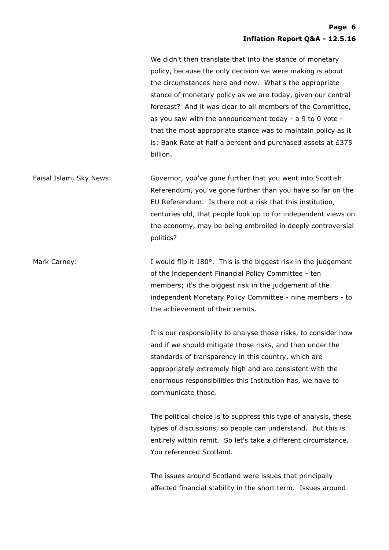We didn't then translate that into the stance of monetary policy, because the only decision we were making is about the circumstances here and now. What's the appropriate stance of monetary policy as we are today, given our central forecast? And it was clear to all members of the Committee, as you saw with the announcement today - a 9 to 0 vote that the most appropriate stance was to maintain policy as it is: Bank Rate at half a percent and purchased assets at £375 billion.

Faisal Islam, Sky News: Governor, you've gone further that you went into Scottish Referendum, you've gone further than you have so far on the EU Referendum. Is there not a risk that this institution, centuries old, that people look up to for independent views on the economy, may be being embroiled in deeply controversial politics?

Mark Carney: This is the biggest risk in the judgement I would flip it 180°. This is the biggest risk in the judgement of the independent Financial Policy Committee - ten members; it's the biggest risk in the judgement of the independent Monetary Policy Committee - nine members - to the achievement of their remits.

> It is our responsibility to analyse those risks, to consider how and if we should mitigate those risks, and then under the standards of transparency in this country, which are appropriately extremely high and are consistent with the enormous responsibilities this Institution has, we have to communicate those.

> The political choice is to suppress this type of analysis, these types of discussions, so people can understand. But this is entirely within remit. So let's take a different circumstance. You referenced Scotland.

The issues around Scotland were issues that principally affected financial stability in the short term. Issues around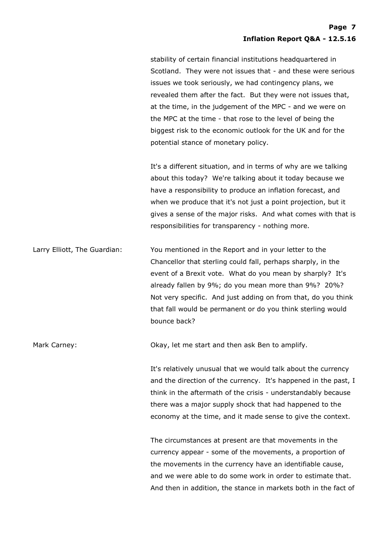stability of certain financial institutions headquartered in Scotland. They were not issues that - and these were serious issues we took seriously, we had contingency plans, we revealed them after the fact. But they were not issues that, at the time, in the judgement of the MPC - and we were on the MPC at the time - that rose to the level of being the biggest risk to the economic outlook for the UK and for the potential stance of monetary policy.

It's a different situation, and in terms of why are we talking about this today? We're talking about it today because we have a responsibility to produce an inflation forecast, and when we produce that it's not just a point projection, but it gives a sense of the major risks. And what comes with that is responsibilities for transparency - nothing more.

Larry Elliott, The Guardian: You mentioned in the Report and in your letter to the Chancellor that sterling could fall, perhaps sharply, in the event of a Brexit vote. What do you mean by sharply? It's already fallen by 9%; do you mean more than 9%? 20%? Not very specific. And just adding on from that, do you think that fall would be permanent or do you think sterling would bounce back?

Mark Carney: Okay, let me start and then ask Ben to amplify.

It's relatively unusual that we would talk about the currency and the direction of the currency. It's happened in the past, I think in the aftermath of the crisis - understandably because there was a major supply shock that had happened to the economy at the time, and it made sense to give the context.

The circumstances at present are that movements in the currency appear - some of the movements, a proportion of the movements in the currency have an identifiable cause, and we were able to do some work in order to estimate that. And then in addition, the stance in markets both in the fact of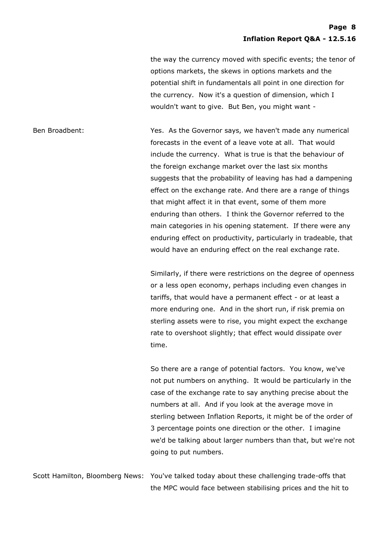## **Page 8 Inflation Report Q&A - 12.5.16**

the way the currency moved with specific events; the tenor of options markets, the skews in options markets and the potential shift in fundamentals all point in one direction for the currency. Now it's a question of dimension, which I wouldn't want to give. But Ben, you might want -

Ben Broadbent: Yes. As the Governor says, we haven't made any numerical forecasts in the event of a leave vote at all. That would include the currency. What is true is that the behaviour of the foreign exchange market over the last six months suggests that the probability of leaving has had a dampening effect on the exchange rate. And there are a range of things that might affect it in that event, some of them more enduring than others. I think the Governor referred to the main categories in his opening statement. If there were any enduring effect on productivity, particularly in tradeable, that would have an enduring effect on the real exchange rate.

> Similarly, if there were restrictions on the degree of openness or a less open economy, perhaps including even changes in tariffs, that would have a permanent effect - or at least a more enduring one. And in the short run, if risk premia on sterling assets were to rise, you might expect the exchange rate to overshoot slightly; that effect would dissipate over time.

> So there are a range of potential factors. You know, we've not put numbers on anything. It would be particularly in the case of the exchange rate to say anything precise about the numbers at all. And if you look at the average move in sterling between Inflation Reports, it might be of the order of 3 percentage points one direction or the other. I imagine we'd be talking about larger numbers than that, but we're not going to put numbers.

Scott Hamilton, Bloomberg News: You've talked today about these challenging trade-offs that the MPC would face between stabilising prices and the hit to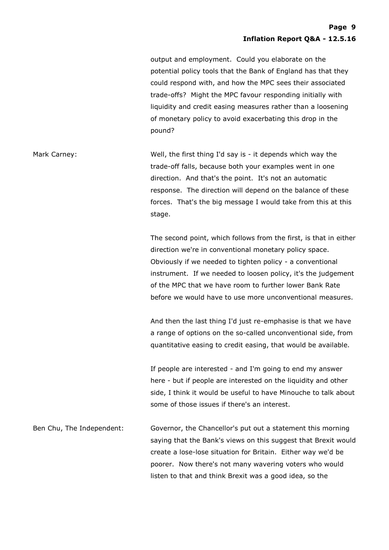output and employment. Could you elaborate on the potential policy tools that the Bank of England has that they could respond with, and how the MPC sees their associated trade-offs? Might the MPC favour responding initially with liquidity and credit easing measures rather than a loosening of monetary policy to avoid exacerbating this drop in the pound?

Mark Carney: Well, the first thing I'd say is - it depends which way the trade-off falls, because both your examples went in one direction. And that's the point. It's not an automatic response. The direction will depend on the balance of these forces. That's the big message I would take from this at this stage.

> The second point, which follows from the first, is that in either direction we're in conventional monetary policy space. Obviously if we needed to tighten policy - a conventional instrument. If we needed to loosen policy, it's the judgement of the MPC that we have room to further lower Bank Rate before we would have to use more unconventional measures.

> And then the last thing I'd just re-emphasise is that we have a range of options on the so-called unconventional side, from quantitative easing to credit easing, that would be available.

> If people are interested - and I'm going to end my answer here - but if people are interested on the liquidity and other side, I think it would be useful to have Minouche to talk about some of those issues if there's an interest.

Ben Chu, The Independent: Governor, the Chancellor's put out a statement this morning saying that the Bank's views on this suggest that Brexit would create a lose-lose situation for Britain. Either way we'd be poorer. Now there's not many wavering voters who would listen to that and think Brexit was a good idea, so the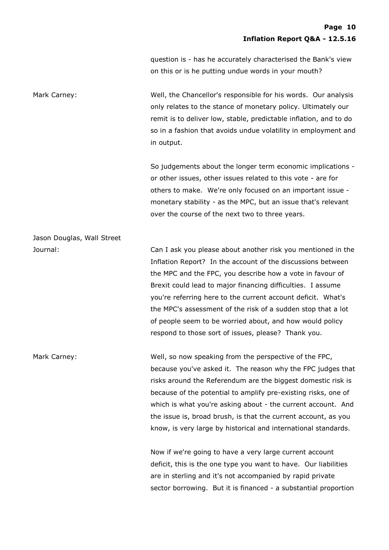question is - has he accurately characterised the Bank's view on this or is he putting undue words in your mouth?

Mark Carney: Well, the Chancellor's responsible for his words. Our analysis only relates to the stance of monetary policy. Ultimately our remit is to deliver low, stable, predictable inflation, and to do so in a fashion that avoids undue volatility in employment and in output.

> So judgements about the longer term economic implications or other issues, other issues related to this vote - are for others to make. We're only focused on an important issue monetary stability - as the MPC, but an issue that's relevant over the course of the next two to three years.

Jason Douglas, Wall Street

Journal: Can I ask you please about another risk you mentioned in the Inflation Report? In the account of the discussions between the MPC and the FPC, you describe how a vote in favour of Brexit could lead to major financing difficulties. I assume you're referring here to the current account deficit. What's the MPC's assessment of the risk of a sudden stop that a lot of people seem to be worried about, and how would policy respond to those sort of issues, please? Thank you.

Mark Carney: Well, so now speaking from the perspective of the FPC, because you've asked it. The reason why the FPC judges that risks around the Referendum are the biggest domestic risk is because of the potential to amplify pre-existing risks, one of which is what you're asking about - the current account. And the issue is, broad brush, is that the current account, as you know, is very large by historical and international standards.

> Now if we're going to have a very large current account deficit, this is the one type you want to have. Our liabilities are in sterling and it's not accompanied by rapid private sector borrowing. But it is financed - a substantial proportion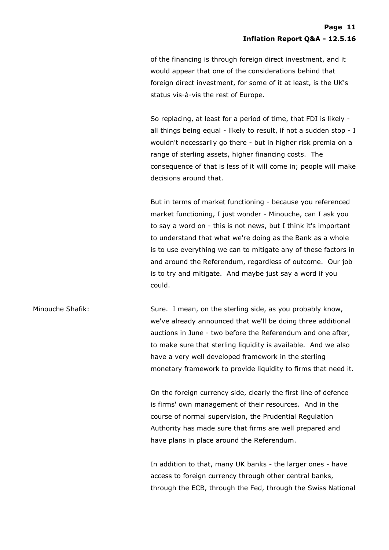of the financing is through foreign direct investment, and it would appear that one of the considerations behind that foreign direct investment, for some of it at least, is the UK's status vis-à-vis the rest of Europe.

So replacing, at least for a period of time, that FDI is likely all things being equal - likely to result, if not a sudden stop - I wouldn't necessarily go there - but in higher risk premia on a range of sterling assets, higher financing costs. The consequence of that is less of it will come in; people will make decisions around that.

But in terms of market functioning - because you referenced market functioning, I just wonder - Minouche, can I ask you to say a word on - this is not news, but I think it's important to understand that what we're doing as the Bank as a whole is to use everything we can to mitigate any of these factors in and around the Referendum, regardless of outcome. Our job is to try and mitigate. And maybe just say a word if you could.

Minouche Shafik: Sure. I mean, on the sterling side, as you probably know, we've already announced that we'll be doing three additional auctions in June - two before the Referendum and one after, to make sure that sterling liquidity is available. And we also have a very well developed framework in the sterling monetary framework to provide liquidity to firms that need it.

> On the foreign currency side, clearly the first line of defence is firms' own management of their resources. And in the course of normal supervision, the Prudential Regulation Authority has made sure that firms are well prepared and have plans in place around the Referendum.

In addition to that, many UK banks - the larger ones - have access to foreign currency through other central banks, through the ECB, through the Fed, through the Swiss National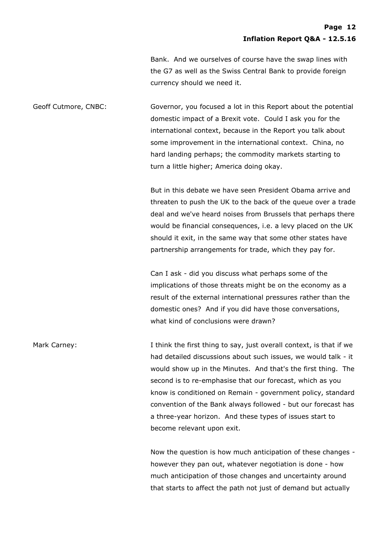Bank. And we ourselves of course have the swap lines with the G7 as well as the Swiss Central Bank to provide foreign currency should we need it.

Geoff Cutmore, CNBC: Governor, you focused a lot in this Report about the potential domestic impact of a Brexit vote. Could I ask you for the international context, because in the Report you talk about some improvement in the international context. China, no hard landing perhaps; the commodity markets starting to turn a little higher; America doing okay.

> But in this debate we have seen President Obama arrive and threaten to push the UK to the back of the queue over a trade deal and we've heard noises from Brussels that perhaps there would be financial consequences, i.e. a levy placed on the UK should it exit, in the same way that some other states have partnership arrangements for trade, which they pay for.

Can I ask - did you discuss what perhaps some of the implications of those threats might be on the economy as a result of the external international pressures rather than the domestic ones? And if you did have those conversations, what kind of conclusions were drawn?

Mark Carney: I think the first thing to say, just overall context, is that if we had detailed discussions about such issues, we would talk - it would show up in the Minutes. And that's the first thing. The second is to re-emphasise that our forecast, which as you know is conditioned on Remain - government policy, standard convention of the Bank always followed - but our forecast has a three-year horizon. And these types of issues start to become relevant upon exit.

> Now the question is how much anticipation of these changes however they pan out, whatever negotiation is done - how much anticipation of those changes and uncertainty around that starts to affect the path not just of demand but actually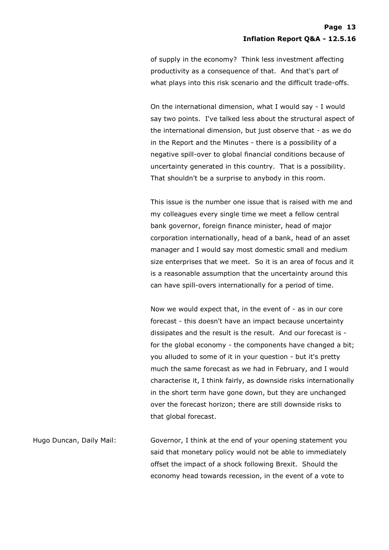of supply in the economy? Think less investment affecting productivity as a consequence of that. And that's part of what plays into this risk scenario and the difficult trade-offs.

On the international dimension, what I would say - I would say two points. I've talked less about the structural aspect of the international dimension, but just observe that - as we do in the Report and the Minutes - there is a possibility of a negative spill-over to global financial conditions because of uncertainty generated in this country. That is a possibility. That shouldn't be a surprise to anybody in this room.

This issue is the number one issue that is raised with me and my colleagues every single time we meet a fellow central bank governor, foreign finance minister, head of major corporation internationally, head of a bank, head of an asset manager and I would say most domestic small and medium size enterprises that we meet. So it is an area of focus and it is a reasonable assumption that the uncertainty around this can have spill-overs internationally for a period of time.

Now we would expect that, in the event of - as in our core forecast - this doesn't have an impact because uncertainty dissipates and the result is the result. And our forecast is for the global economy - the components have changed a bit; you alluded to some of it in your question - but it's pretty much the same forecast as we had in February, and I would characterise it, I think fairly, as downside risks internationally in the short term have gone down, but they are unchanged over the forecast horizon; there are still downside risks to that global forecast.

Hugo Duncan, Daily Mail: Governor, I think at the end of your opening statement you said that monetary policy would not be able to immediately offset the impact of a shock following Brexit. Should the economy head towards recession, in the event of a vote to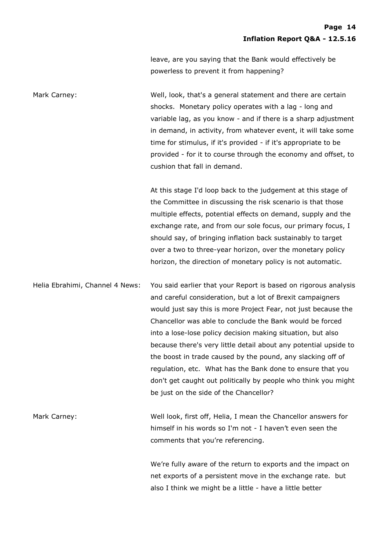leave, are you saying that the Bank would effectively be powerless to prevent it from happening?

Mark Carney: Well, look, that's a general statement and there are certain shocks. Monetary policy operates with a lag - long and variable lag, as you know - and if there is a sharp adjustment in demand, in activity, from whatever event, it will take some time for stimulus, if it's provided - if it's appropriate to be provided - for it to course through the economy and offset, to cushion that fall in demand.

> At this stage I'd loop back to the judgement at this stage of the Committee in discussing the risk scenario is that those multiple effects, potential effects on demand, supply and the exchange rate, and from our sole focus, our primary focus, I should say, of bringing inflation back sustainably to target over a two to three-year horizon, over the monetary policy horizon, the direction of monetary policy is not automatic.

Helia Ebrahimi, Channel 4 News: You said earlier that your Report is based on rigorous analysis and careful consideration, but a lot of Brexit campaigners would just say this is more Project Fear, not just because the Chancellor was able to conclude the Bank would be forced into a lose-lose policy decision making situation, but also because there's very little detail about any potential upside to the boost in trade caused by the pound, any slacking off of regulation, etc. What has the Bank done to ensure that you don't get caught out politically by people who think you might be just on the side of the Chancellor?

Mark Carney: Well look, first off, Helia, I mean the Chancellor answers for himself in his words so I'm not - I haven't even seen the comments that you're referencing.

> We're fully aware of the return to exports and the impact on net exports of a persistent move in the exchange rate. but also I think we might be a little - have a little better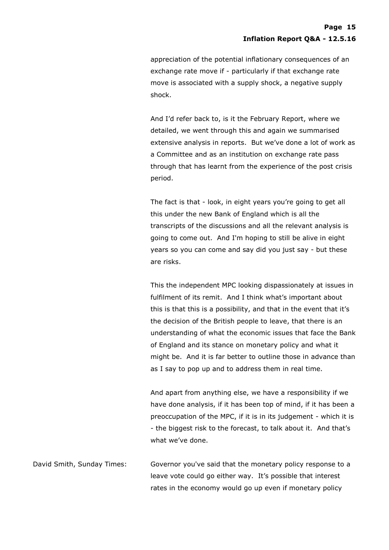appreciation of the potential inflationary consequences of an exchange rate move if - particularly if that exchange rate move is associated with a supply shock, a negative supply shock.

And I'd refer back to, is it the February Report, where we detailed, we went through this and again we summarised extensive analysis in reports. But we've done a lot of work as a Committee and as an institution on exchange rate pass through that has learnt from the experience of the post crisis period.

The fact is that - look, in eight years you're going to get all this under the new Bank of England which is all the transcripts of the discussions and all the relevant analysis is going to come out. And I'm hoping to still be alive in eight years so you can come and say did you just say - but these are risks.

This the independent MPC looking dispassionately at issues in fulfilment of its remit. And I think what's important about this is that this is a possibility, and that in the event that it's the decision of the British people to leave, that there is an understanding of what the economic issues that face the Bank of England and its stance on monetary policy and what it might be. And it is far better to outline those in advance than as I say to pop up and to address them in real time.

And apart from anything else, we have a responsibility if we have done analysis, if it has been top of mind, if it has been a preoccupation of the MPC, if it is in its judgement - which it is - the biggest risk to the forecast, to talk about it. And that's what we've done.

David Smith, Sunday Times: Governor you've said that the monetary policy response to a leave vote could go either way. It's possible that interest rates in the economy would go up even if monetary policy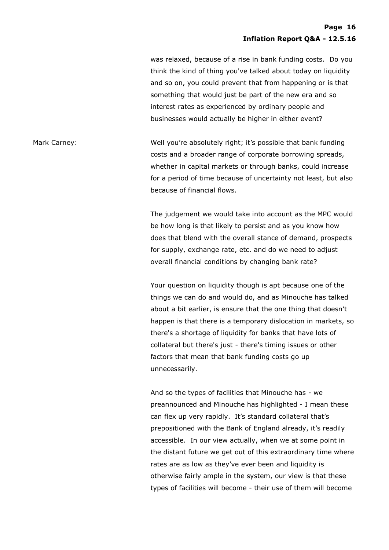was relaxed, because of a rise in bank funding costs. Do you think the kind of thing you've talked about today on liquidity and so on, you could prevent that from happening or is that something that would just be part of the new era and so interest rates as experienced by ordinary people and businesses would actually be higher in either event?

Mark Carney: The Mark Carney: Well you're absolutely right; it's possible that bank funding costs and a broader range of corporate borrowing spreads, whether in capital markets or through banks, could increase for a period of time because of uncertainty not least, but also because of financial flows.

> The judgement we would take into account as the MPC would be how long is that likely to persist and as you know how does that blend with the overall stance of demand, prospects for supply, exchange rate, etc. and do we need to adjust overall financial conditions by changing bank rate?

> Your question on liquidity though is apt because one of the things we can do and would do, and as Minouche has talked about a bit earlier, is ensure that the one thing that doesn't happen is that there is a temporary dislocation in markets, so there's a shortage of liquidity for banks that have lots of collateral but there's just - there's timing issues or other factors that mean that bank funding costs go up unnecessarily.

> And so the types of facilities that Minouche has - we preannounced and Minouche has highlighted - I mean these can flex up very rapidly. It's standard collateral that's prepositioned with the Bank of England already, it's readily accessible. In our view actually, when we at some point in the distant future we get out of this extraordinary time where rates are as low as they've ever been and liquidity is otherwise fairly ample in the system, our view is that these types of facilities will become - their use of them will become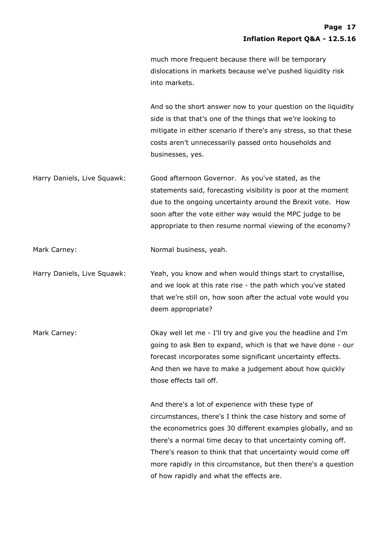much more frequent because there will be temporary dislocations in markets because we've pushed liquidity risk into markets.

And so the short answer now to your question on the liquidity side is that that's one of the things that we're looking to mitigate in either scenario if there's any stress, so that these costs aren't unnecessarily passed onto households and businesses, yes.

Harry Daniels, Live Squawk: Good afternoon Governor. As you've stated, as the statements said, forecasting visibility is poor at the moment due to the ongoing uncertainty around the Brexit vote. How soon after the vote either way would the MPC judge to be appropriate to then resume normal viewing of the economy?

Mark Carney: Normal business, yeah.

Harry Daniels, Live Squawk: Yeah, you know and when would things start to crystallise, and we look at this rate rise - the path which you've stated that we're still on, how soon after the actual vote would you deem appropriate?

Mark Carney: Okay well let me - I'll try and give you the headline and I'm going to ask Ben to expand, which is that we have done - our forecast incorporates some significant uncertainty effects. And then we have to make a judgement about how quickly those effects tail off.

> And there's a lot of experience with these type of circumstances, there's I think the case history and some of the econometrics goes 30 different examples globally, and so there's a normal time decay to that uncertainty coming off. There's reason to think that that uncertainty would come off more rapidly in this circumstance, but then there's a question of how rapidly and what the effects are.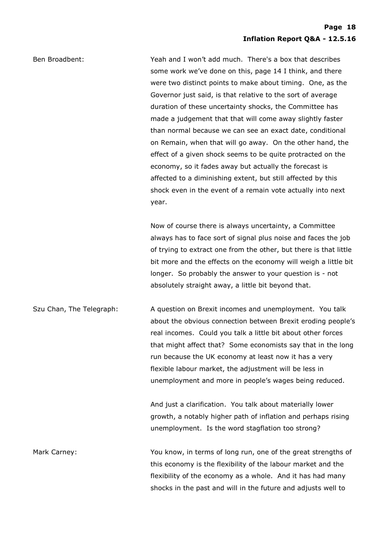Ben Broadbent: Yeah and I won't add much. There's a box that describes some work we've done on this, page 14 I think, and there were two distinct points to make about timing. One, as the Governor just said, is that relative to the sort of average duration of these uncertainty shocks, the Committee has made a judgement that that will come away slightly faster than normal because we can see an exact date, conditional on Remain, when that will go away. On the other hand, the effect of a given shock seems to be quite protracted on the economy, so it fades away but actually the forecast is affected to a diminishing extent, but still affected by this shock even in the event of a remain vote actually into next year.

> Now of course there is always uncertainty, a Committee always has to face sort of signal plus noise and faces the job of trying to extract one from the other, but there is that little bit more and the effects on the economy will weigh a little bit longer. So probably the answer to your question is - not absolutely straight away, a little bit beyond that.

Szu Chan, The Telegraph: A question on Brexit incomes and unemployment. You talk about the obvious connection between Brexit eroding people's real incomes. Could you talk a little bit about other forces that might affect that? Some economists say that in the long run because the UK economy at least now it has a very flexible labour market, the adjustment will be less in unemployment and more in people's wages being reduced.

> And just a clarification. You talk about materially lower growth, a notably higher path of inflation and perhaps rising unemployment. Is the word stagflation too strong?

Mark Carney: You know, in terms of long run, one of the great strengths of this economy is the flexibility of the labour market and the flexibility of the economy as a whole. And it has had many shocks in the past and will in the future and adjusts well to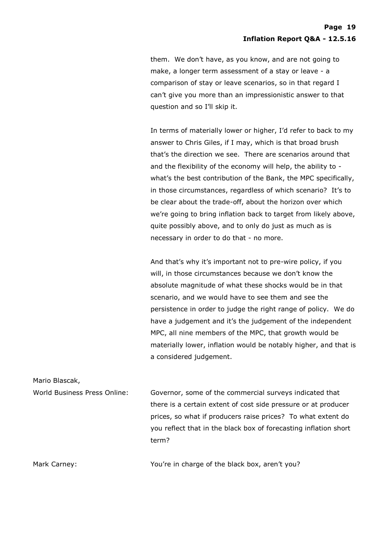them. We don't have, as you know, and are not going to make, a longer term assessment of a stay or leave - a comparison of stay or leave scenarios, so in that regard I can't give you more than an impressionistic answer to that question and so I'll skip it.

In terms of materially lower or higher, I'd refer to back to my answer to Chris Giles, if I may, which is that broad brush that's the direction we see. There are scenarios around that and the flexibility of the economy will help, the ability to what's the best contribution of the Bank, the MPC specifically, in those circumstances, regardless of which scenario? It's to be clear about the trade-off, about the horizon over which we're going to bring inflation back to target from likely above, quite possibly above, and to only do just as much as is necessary in order to do that - no more.

And that's why it's important not to pre-wire policy, if you will, in those circumstances because we don't know the absolute magnitude of what these shocks would be in that scenario, and we would have to see them and see the persistence in order to judge the right range of policy. We do have a judgement and it's the judgement of the independent MPC, all nine members of the MPC, that growth would be materially lower, inflation would be notably higher, and that is a considered judgement.

Mario Blascak,

World Business Press Online: Governor, some of the commercial surveys indicated that there is a certain extent of cost side pressure or at producer prices, so what if producers raise prices? To what extent do you reflect that in the black box of forecasting inflation short term?

Mark Carney: The Mark Carney: The Moult of the black box, aren't you?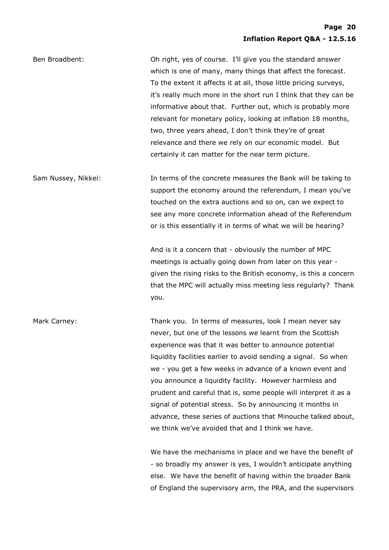Ben Broadbent: Oh right, yes of course. I'll give you the standard answer which is one of many, many things that affect the forecast. To the extent it affects it at all, those little pricing surveys, it's really much more in the short run I think that they can be informative about that. Further out, which is probably more relevant for monetary policy, looking at inflation 18 months, two, three years ahead, I don't think they're of great relevance and there we rely on our economic model. But certainly it can matter for the near term picture.

Sam Nussey, Nikkei: In terms of the concrete measures the Bank will be taking to support the economy around the referendum, I mean you've touched on the extra auctions and so on, can we expect to see any more concrete information ahead of the Referendum or is this essentially it in terms of what we will be hearing?

> And is it a concern that - obviously the number of MPC meetings is actually going down from later on this year given the rising risks to the British economy, is this a concern that the MPC will actually miss meeting less regularly? Thank you.

Mark Carney: Thank you. In terms of measures, look I mean never say never, but one of the lessons we learnt from the Scottish experience was that it was better to announce potential liquidity facilities earlier to avoid sending a signal. So when we - you get a few weeks in advance of a known event and you announce a liquidity facility. However harmless and prudent and careful that is, some people will interpret it as a signal of potential stress. So by announcing it months in advance, these series of auctions that Minouche talked about, we think we've avoided that and I think we have.

> We have the mechanisms in place and we have the benefit of - so broadly my answer is yes, I wouldn't anticipate anything else. We have the benefit of having within the broader Bank of England the supervisory arm, the PRA, and the supervisors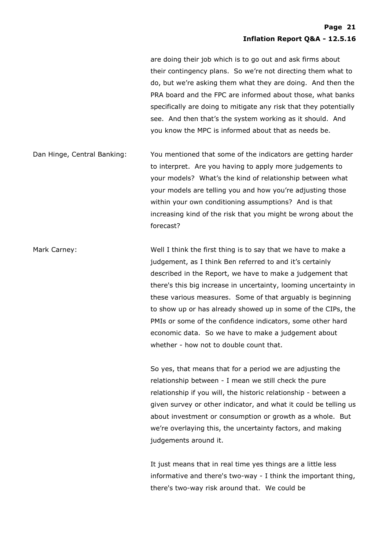are doing their job which is to go out and ask firms about their contingency plans. So we're not directing them what to do, but we're asking them what they are doing. And then the PRA board and the FPC are informed about those, what banks specifically are doing to mitigate any risk that they potentially see. And then that's the system working as it should. And you know the MPC is informed about that as needs be.

Dan Hinge, Central Banking: You mentioned that some of the indicators are getting harder to interpret. Are you having to apply more judgements to your models? What's the kind of relationship between what your models are telling you and how you're adjusting those within your own conditioning assumptions? And is that increasing kind of the risk that you might be wrong about the forecast?

Mark Carney: Well I think the first thing is to say that we have to make a judgement, as I think Ben referred to and it's certainly described in the Report, we have to make a judgement that there's this big increase in uncertainty, looming uncertainty in these various measures. Some of that arguably is beginning to show up or has already showed up in some of the CIPs, the PMIs or some of the confidence indicators, some other hard economic data. So we have to make a judgement about whether - how not to double count that.

> So yes, that means that for a period we are adjusting the relationship between - I mean we still check the pure relationship if you will, the historic relationship - between a given survey or other indicator, and what it could be telling us about investment or consumption or growth as a whole. But we're overlaying this, the uncertainty factors, and making judgements around it.

> It just means that in real time yes things are a little less informative and there's two-way - I think the important thing, there's two-way risk around that. We could be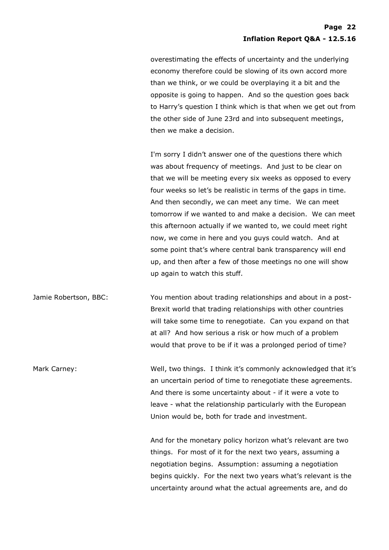overestimating the effects of uncertainty and the underlying economy therefore could be slowing of its own accord more than we think, or we could be overplaying it a bit and the opposite is going to happen. And so the question goes back to Harry's question I think which is that when we get out from the other side of June 23rd and into subsequent meetings, then we make a decision.

I'm sorry I didn't answer one of the questions there which was about frequency of meetings. And just to be clear on that we will be meeting every six weeks as opposed to every four weeks so let's be realistic in terms of the gaps in time. And then secondly, we can meet any time. We can meet tomorrow if we wanted to and make a decision. We can meet this afternoon actually if we wanted to, we could meet right now, we come in here and you guys could watch. And at some point that's where central bank transparency will end up, and then after a few of those meetings no one will show up again to watch this stuff.

Jamie Robertson, BBC: You mention about trading relationships and about in a post-Brexit world that trading relationships with other countries will take some time to renegotiate. Can you expand on that at all? And how serious a risk or how much of a problem would that prove to be if it was a prolonged period of time?

Mark Carney: The Mark Carney: Well, two things. I think it's commonly acknowledged that it's an uncertain period of time to renegotiate these agreements. And there is some uncertainty about - if it were a vote to leave - what the relationship particularly with the European Union would be, both for trade and investment.

> And for the monetary policy horizon what's relevant are two things. For most of it for the next two years, assuming a negotiation begins. Assumption: assuming a negotiation begins quickly. For the next two years what's relevant is the uncertainty around what the actual agreements are, and do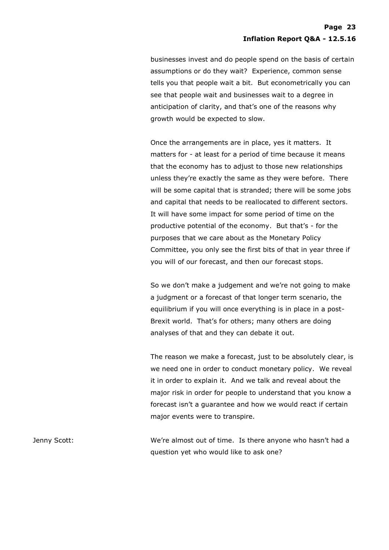businesses invest and do people spend on the basis of certain assumptions or do they wait? Experience, common sense tells you that people wait a bit. But econometrically you can see that people wait and businesses wait to a degree in anticipation of clarity, and that's one of the reasons why growth would be expected to slow.

Once the arrangements are in place, yes it matters. It matters for - at least for a period of time because it means that the economy has to adjust to those new relationships unless they're exactly the same as they were before. There will be some capital that is stranded; there will be some jobs and capital that needs to be reallocated to different sectors. It will have some impact for some period of time on the productive potential of the economy. But that's - for the purposes that we care about as the Monetary Policy Committee, you only see the first bits of that in year three if you will of our forecast, and then our forecast stops.

So we don't make a judgement and we're not going to make a judgment or a forecast of that longer term scenario, the equilibrium if you will once everything is in place in a post-Brexit world. That's for others; many others are doing analyses of that and they can debate it out.

The reason we make a forecast, just to be absolutely clear, is we need one in order to conduct monetary policy. We reveal it in order to explain it. And we talk and reveal about the major risk in order for people to understand that you know a forecast isn't a guarantee and how we would react if certain major events were to transpire.

Jenny Scott: We're almost out of time. Is there anyone who hasn't had a question yet who would like to ask one?